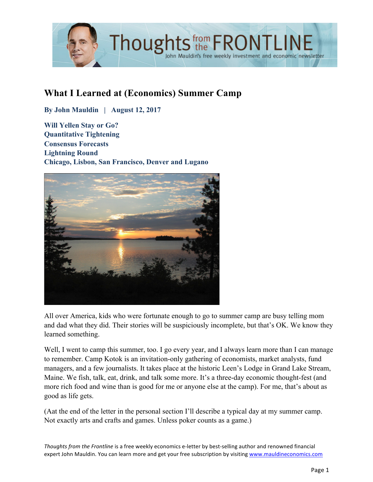

# **What I Learned at (Economics) Summer Camp**

**By John Mauldin | August 12, 2017**

**Will Yellen Stay or Go? Quantitative Tightening Consensus Forecasts Lightning Round Chicago, Lisbon, San Francisco, Denver and Lugano**



All over America, kids who were fortunate enough to go to summer camp are busy telling mom and dad what they did. Their stories will be suspiciously incomplete, but that's OK. We know they learned something.

Well, I went to camp this summer, too. I go every year, and I always learn more than I can manage to remember. Camp Kotok is an invitation-only gathering of economists, market analysts, fund managers, and a few journalists. It takes place at the historic Leen's Lodge in Grand Lake Stream, Maine. We fish, talk, eat, drink, and talk some more. It's a three-day economic thought-fest (and more rich food and wine than is good for me or anyone else at the camp). For me, that's about as good as life gets.

(Aat the end of the letter in the personal section I'll describe a typical day at my summer camp. Not exactly arts and crafts and games. Unless poker counts as a game.)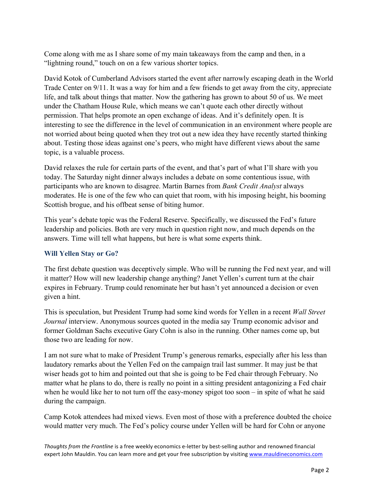Come along with me as I share some of my main takeaways from the camp and then, in a "lightning round," touch on on a few various shorter topics.

David Kotok of Cumberland Advisors started the event after narrowly escaping death in the World Trade Center on 9/11. It was a way for him and a few friends to get away from the city, appreciate life, and talk about things that matter. Now the gathering has grown to about 50 of us. We meet under the Chatham House Rule, which means we can't quote each other directly without permission. That helps promote an open exchange of ideas. And it's definitely open. It is interesting to see the difference in the level of communication in an environment where people are not worried about being quoted when they trot out a new idea they have recently started thinking about. Testing those ideas against one's peers, who might have different views about the same topic, is a valuable process.

David relaxes the rule for certain parts of the event, and that's part of what I'll share with you today. The Saturday night dinner always includes a debate on some contentious issue, with participants who are known to disagree. Martin Barnes from *Bank Credit Analyst* always moderates. He is one of the few who can quiet that room, with his imposing height, his booming Scottish brogue, and his offbeat sense of biting humor.

This year's debate topic was the Federal Reserve. Specifically, we discussed the Fed's future leadership and policies. Both are very much in question right now, and much depends on the answers. Time will tell what happens, but here is what some experts think.

#### **Will Yellen Stay or Go?**

The first debate question was deceptively simple. Who will be running the Fed next year, and will it matter? How will new leadership change anything? Janet Yellen's current turn at the chair expires in February. Trump could renominate her but hasn't yet announced a decision or even given a hint.

This is speculation, but President Trump had some kind words for Yellen in a recent *Wall Street Journal* interview. Anonymous sources quoted in the media say Trump economic advisor and former Goldman Sachs executive Gary Cohn is also in the running. Other names come up, but those two are leading for now.

I am not sure what to make of President Trump's generous remarks, especially after his less than laudatory remarks about the Yellen Fed on the campaign trail last summer. It may just be that wiser heads got to him and pointed out that she is going to be Fed chair through February. No matter what he plans to do, there is really no point in a sitting president antagonizing a Fed chair when he would like her to not turn off the easy-money spigot too soon – in spite of what he said during the campaign.

Camp Kotok attendees had mixed views. Even most of those with a preference doubted the choice would matter very much. The Fed's policy course under Yellen will be hard for Cohn or anyone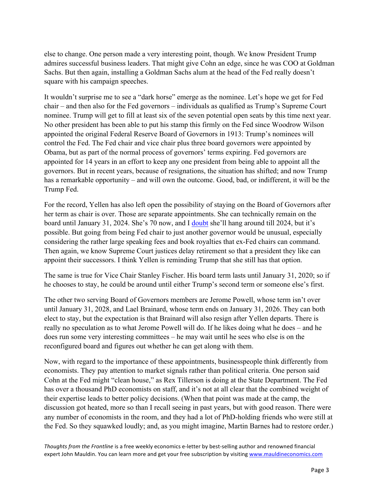else to change. One person made a very interesting point, though. We know President Trump admires successful business leaders. That might give Cohn an edge, since he was COO at Goldman Sachs. But then again, installing a Goldman Sachs alum at the head of the Fed really doesn't square with his campaign speeches.

It wouldn't surprise me to see a "dark horse" emerge as the nominee. Let's hope we get for Fed chair – and then also for the Fed governors – individuals as qualified as Trump's Supreme Court nominee. Trump will get to fill at least six of the seven potential open seats by this time next year. No other president has been able to put his stamp this firmly on the Fed since Woodrow Wilson appointed the original Federal Reserve Board of Governors in 1913: Trump's nominees will control the Fed. The Fed chair and vice chair plus three board governors were appointed by Obama, but as part of the normal process of governors' terms expiring. Fed governors are appointed for 14 years in an effort to keep any one president from being able to appoint all the governors. But in recent years, because of resignations, the situation has shifted; and now Trump has a remarkable opportunity – and will own the outcome. Good, bad, or indifferent, it will be the Trump Fed.

For the record, Yellen has also left open the possibility of staying on the Board of Governors after her term as chair is over. Those are separate appointments. She can technically remain on the board until January 31, 2024. She's 70 now, and I [doubt](http://www.mauldineconomics.com/frontlinethoughts/what-would-yellen-do) she'll hang around till 2024, but it's possible. But going from being Fed chair to just another governor would be unusual, especially considering the rather large speaking fees and book royalties that ex-Fed chairs can command. Then again, we know Supreme Court justices delay retirement so that a president they like can appoint their successors. I think Yellen is reminding Trump that she still has that option.

The same is true for Vice Chair Stanley Fischer. His board term lasts until January 31, 2020; so if he chooses to stay, he could be around until either Trump's second term or someone else's first.

The other two serving Board of Governors members are Jerome Powell, whose term isn't over until January 31, 2028, and Lael Brainard, whose term ends on January 31, 2026. They can both elect to stay, but the expectation is that Brainard will also resign after Yellen departs. There is really no speculation as to what Jerome Powell will do. If he likes doing what he does – and he does run some very interesting committees – he may wait until he sees who else is on the reconfigured board and figures out whether he can get along with them.

Now, with regard to the importance of these appointments, businesspeople think differently from economists. They pay attention to market signals rather than political criteria. One person said Cohn at the Fed might "clean house," as Rex Tillerson is doing at the State Department. The Fed has over a thousand PhD economists on staff, and it's not at all clear that the combined weight of their expertise leads to better policy decisions. (When that point was made at the camp, the discussion got heated, more so than I recall seeing in past years, but with good reason. There were any number of economists in the room, and they had a lot of PhD-holding friends who were still at the Fed. So they squawked loudly; and, as you might imagine, Martin Barnes had to restore order.)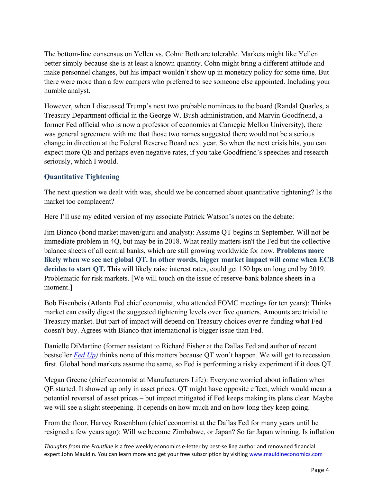The bottom-line consensus on Yellen vs. Cohn: Both are tolerable. Markets might like Yellen better simply because she is at least a known quantity. Cohn might bring a different attitude and make personnel changes, but his impact wouldn't show up in monetary policy for some time. But there were more than a few campers who preferred to see someone else appointed. Including your humble analyst.

However, when I discussed Trump's next two probable nominees to the board (Randal Quarles, a Treasury Department official in the George W. Bush administration, and Marvin Goodfriend, a former Fed official who is now a professor of economics at Carnegie Mellon University), there was general agreement with me that those two names suggested there would not be a serious change in direction at the Federal Reserve Board next year. So when the next crisis hits, you can expect more QE and perhaps even negative rates, if you take Goodfriend's speeches and research seriously, which I would.

## **Quantitative Tightening**

The next question we dealt with was, should we be concerned about quantitative tightening? Is the market too complacent?

Here I'll use my edited version of my associate Patrick Watson's notes on the debate:

Jim Bianco (bond market maven/guru and analyst): Assume QT begins in September. Will not be immediate problem in 4Q, but may be in 2018. What really matters isn't the Fed but the collective balance sheets of all central banks, which are still growing worldwide for now. **Problems more likely when we see net global QT. In other words, bigger market impact will come when ECB decides to start QT.** This will likely raise interest rates, could get 150 bps on long end by 2019. Problematic for risk markets. [We will touch on the issue of reserve-bank balance sheets in a moment.]

Bob Eisenbeis (Atlanta Fed chief economist, who attended FOMC meetings for ten years): Thinks market can easily digest the suggested tightening levels over five quarters. Amounts are trivial to Treasury market. But part of impact will depend on Treasury choices over re-funding what Fed doesn't buy. Agrees with Bianco that international is bigger issue than Fed.

Danielle DiMartino (former assistant to Richard Fisher at the Dallas Fed and author of recent bestseller *[Fed Up\)](https://www.amazon.com/dp/B01IOHQ9H8/ref=dp-kindle-redirect?_encoding=UTF8&btkr=1)* thinks none of this matters because QT won't happen. We will get to recession first. Global bond markets assume the same, so Fed is performing a risky experiment if it does QT.

Megan Greene (chief economist at Manufacturers Life): Everyone worried about inflation when QE started. It showed up only in asset prices. QT might have opposite effect, which would mean a potential reversal of asset prices – but impact mitigated if Fed keeps making its plans clear. Maybe we will see a slight steepening. It depends on how much and on how long they keep going.

From the floor, Harvey Rosenblum (chief economist at the Dallas Fed for many years until he resigned a few years ago): Will we become Zimbabwe, or Japan? So far Japan winning. Is inflation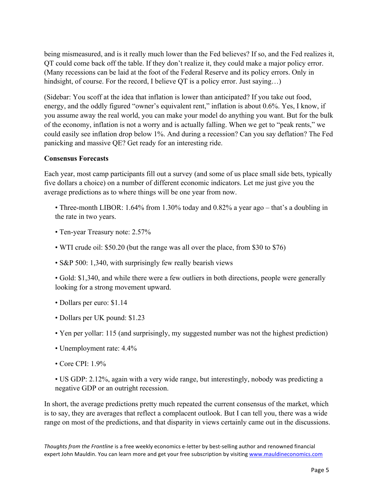being mismeasured, and is it really much lower than the Fed believes? If so, and the Fed realizes it, QT could come back off the table. If they don't realize it, they could make a major policy error. (Many recessions can be laid at the foot of the Federal Reserve and its policy errors. Only in hindsight, of course. For the record, I believe QT is a policy error. Just saying...)

(Sidebar: You scoff at the idea that inflation is lower than anticipated? If you take out food, energy, and the oddly figured "owner's equivalent rent," inflation is about 0.6%. Yes, I know, if you assume away the real world, you can make your model do anything you want. But for the bulk of the economy, inflation is not a worry and is actually falling. When we get to "peak rents," we could easily see inflation drop below 1%. And during a recession? Can you say deflation? The Fed panicking and massive QE? Get ready for an interesting ride.

#### **Consensus Forecasts**

Each year, most camp participants fill out a survey (and some of us place small side bets, typically five dollars a choice) on a number of different economic indicators. Let me just give you the average predictions as to where things will be one year from now.

• Three-month LIBOR: 1.64% from 1.30% today and 0.82% a year ago – that's a doubling in the rate in two years.

- Ten-year Treasury note: 2.57%
- WTI crude oil: \$50.20 (but the range was all over the place, from \$30 to \$76)
- S&P 500: 1,340, with surprisingly few really bearish views

• Gold: \$1,340, and while there were a few outliers in both directions, people were generally looking for a strong movement upward.

- Dollars per euro: \$1.14
- Dollars per UK pound: \$1.23
- Yen per yollar: 115 (and surprisingly, my suggested number was not the highest prediction)
- Unemployment rate: 4.4%
- Core CPI: 1.9%

• US GDP: 2.12%, again with a very wide range, but interestingly, nobody was predicting a negative GDP or an outright recession.

In short, the average predictions pretty much repeated the current consensus of the market, which is to say, they are averages that reflect a complacent outlook. But I can tell you, there was a wide range on most of the predictions, and that disparity in views certainly came out in the discussions.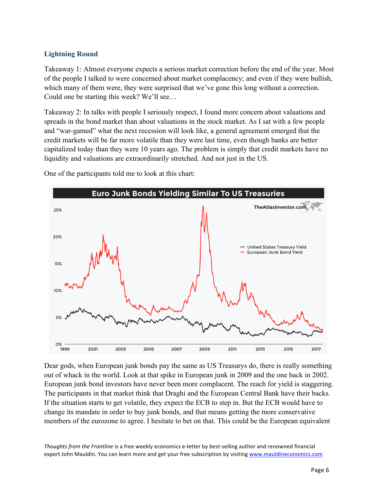### **Lightning Round**

Takeaway 1: Almost everyone expects a serious market correction before the end of the year. Most of the people I talked to were concerned about market complacency; and even if they were bullish, which many of them were, they were surprised that we've gone this long without a correction. Could one be starting this week? We'll see…

Takeaway 2: In talks with people I seriously respect, I found more concern about valuations and spreads in the bond market than about valuations in the stock market. As I sat with a few people and "war-gamed" what the next recession will look like, a general agreement emerged that the credit markets will be far more volatile than they were last time, even though banks are better capitalized today than they were 10 years ago. The problem is simply that credit markets have no liquidity and valuations are extraordinarily stretched. And not just in the US.



One of the participants told me to look at this chart:

Dear gods, when European junk bonds pay the same as US Treasurys do, there is really something out of whack in the world. Look at that spike in European junk in 2009 and the one back in 2002. European junk bond investors have never been more complacent. The reach for yield is staggering. The participants in that market think that Draghi and the European Central Bank have their backs. If the situation starts to get volatile, they expect the ECB to step in. But the ECB would have to change its mandate in order to buy junk bonds, and that means getting the more conservative members of the eurozone to agree. I hesitate to bet on that. This could be the European equivalent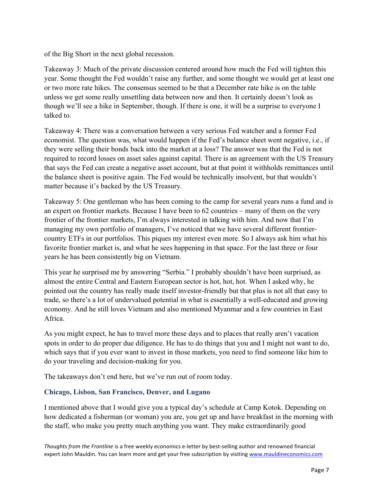of the Big Short in the next global recession.

Takeaway 3: Much of the private discussion centered around how much the Fed will tighten this year. Some thought the Fed wouldn't raise any further, and some thought we would get at least one or two more rate hikes. The consensus seemed to be that a December rate hike is on the table unless we get some really unsettling data between now and then. It certainly doesn't look as though we'll see a hike in September, though. If there is one, it will be a surprise to everyone I talked to.

Takeaway 4: There was a conversation between a very serious Fed watcher and a former Fed economist. The question was, what would happen if the Fed's balance sheet went negative, i.e., if they were selling their bonds back into the market at a loss? The answer was that the Fed is not required to record losses on asset sales against capital. There is an agreement with the US Treasury that says the Fed can create a negative asset account, but at that point it withholds remittances until the balance sheet is positive again. The Fed would be technically insolvent, but that wouldn't matter because it's backed by the US Treasury.

Takeaway 5: One gentleman who has been coming to the camp for several years runs a fund and is an expert on frontier markets. Because I have been to 62 countries – many of them on the very frontier of the frontier markets, I'm always interested in talking with him. And now that I'm managing my own portfolio of managers, I've noticed that we have several different frontiercountry ETFs in our portfolios. This piques my interest even more. So I always ask him what his favorite frontier market is, and what he sees happening in that space. For the last three or four years he has been consistently big on Vietnam.

This year he surprised me by answering "Serbia." I probably shouldn't have been surprised, as almost the entire Central and Eastern European sector is hot, hot, hot. When I asked why, he pointed out the country has really made itself investor-friendly but that plus is not all that easy to trade, so there's a lot of undervalued potential in what is essentially a well-educated and growing economy. And he still loves Vietnam and also mentioned Myanmar and a few countries in East Africa.

As you might expect, he has to travel more these days and to places that really aren't vacation spots in order to do proper due diligence. He has to do things that you and I might not want to do, which says that if you ever want to invest in those markets, you need to find someone like him to do your traveling and decision-making for you.

The takeaways don't end here, but we've run out of room today.

## **Chicago, Lisbon, San Francisco, Denver, and Lugano**

I mentioned above that I would give you a typical day's schedule at Camp Kotok. Depending on how dedicated a fisherman (or woman) you are, you get up and have breakfast in the morning with the staff, who make you pretty much anything you want. They make extraordinarily good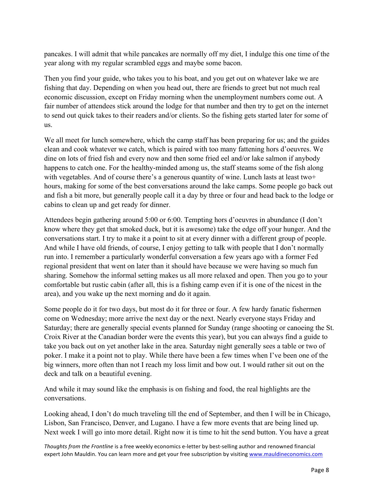pancakes. I will admit that while pancakes are normally off my diet, I indulge this one time of the year along with my regular scrambled eggs and maybe some bacon.

Then you find your guide, who takes you to his boat, and you get out on whatever lake we are fishing that day. Depending on when you head out, there are friends to greet but not much real economic discussion, except on Friday morning when the unemployment numbers come out. A fair number of attendees stick around the lodge for that number and then try to get on the internet to send out quick takes to their readers and/or clients. So the fishing gets started later for some of us.

We all meet for lunch somewhere, which the camp staff has been preparing for us; and the guides clean and cook whatever we catch, which is paired with too many fattening hors d'oeuvres. We dine on lots of fried fish and every now and then some fried eel and/or lake salmon if anybody happens to catch one. For the healthy-minded among us, the staff steams some of the fish along with vegetables. And of course there's a generous quantity of wine. Lunch lasts at least two+ hours, making for some of the best conversations around the lake camps. Some people go back out and fish a bit more, but generally people call it a day by three or four and head back to the lodge or cabins to clean up and get ready for dinner.

Attendees begin gathering around 5:00 or 6:00. Tempting hors d'oeuvres in abundance (I don't know where they get that smoked duck, but it is awesome) take the edge off your hunger. And the conversations start. I try to make it a point to sit at every dinner with a different group of people. And while I have old friends, of course, I enjoy getting to talk with people that I don't normally run into. I remember a particularly wonderful conversation a few years ago with a former Fed regional president that went on later than it should have because we were having so much fun sharing. Somehow the informal setting makes us all more relaxed and open. Then you go to your comfortable but rustic cabin (after all, this is a fishing camp even if it is one of the nicest in the area), and you wake up the next morning and do it again.

Some people do it for two days, but most do it for three or four. A few hardy fanatic fishermen come on Wednesday; more arrive the next day or the next. Nearly everyone stays Friday and Saturday; there are generally special events planned for Sunday (range shooting or canoeing the St. Croix River at the Canadian border were the events this year), but you can always find a guide to take you back out on yet another lake in the area. Saturday night generally sees a table or two of poker. I make it a point not to play. While there have been a few times when I've been one of the big winners, more often than not I reach my loss limit and bow out. I would rather sit out on the deck and talk on a beautiful evening.

And while it may sound like the emphasis is on fishing and food, the real highlights are the conversations.

Looking ahead, I don't do much traveling till the end of September, and then I will be in Chicago, Lisbon, San Francisco, Denver, and Lugano. I have a few more events that are being lined up. Next week I will go into more detail. Right now it is time to hit the send button. You have a great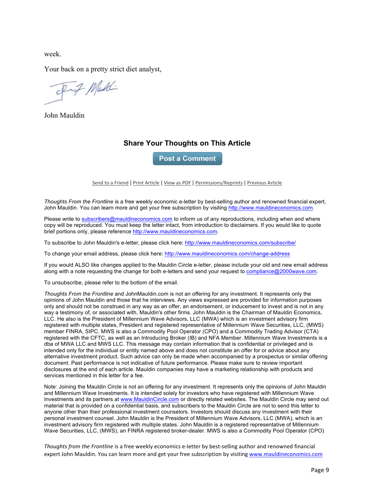week.

Your back on a pretty strict diet analyst,

Fif Maddi

John Mauldin

#### **Share Your Thoughts on This Article**

**Post a Comment** 

Send to a Friend | Print Article | View as PDF | Permissions/Reprints | Previous Article

*Thoughts From the Frontline* is a free weekly economic e-letter by best-selling author and renowned financial expert, John Mauldin. You can learn more and get your free subscription by visiting http://www.mauldineconomics.com.

Please write to subscribers@mauldineconomics.com to inform us of any reproductions, including when and where copy will be reproduced. You must keep the letter intact, from introduction to disclaimers. If you would like to quote brief portions only, please reference http://www.mauldineconomics.com.

To subscribe to John Mauldin's e-letter, please click here: http://www.mauldineconomics.com/subscribe/

To change your email address, please click here: http://www.mauldineconomics.com/change-address

If you would ALSO like changes applied to the Mauldin Circle e-letter, please include your old and new email address along with a note requesting the change for both e-letters and send your request to compliance@2000wave.com.

To unsubscribe, please refer to the bottom of the email.

*Thoughts From the Frontline* and JohnMauldin.com is not an offering for any investment. It represents only the opinions of John Mauldin and those that he interviews. Any views expressed are provided for information purposes only and should not be construed in any way as an offer, an endorsement, or inducement to invest and is not in any way a testimony of, or associated with, Mauldin's other firms. John Mauldin is the Chairman of Mauldin Economics, LLC. He also is the President of Millennium Wave Advisors, LLC (MWA) which is an investment advisory firm registered with multiple states, President and registered representative of Millennium Wave Securities, LLC, (MWS) member FINRA, SIPC. MWS is also a Commodity Pool Operator (CPO) and a Commodity Trading Advisor (CTA) registered with the CFTC, as well as an Introducing Broker (IB) and NFA Member. Millennium Wave Investments is a dba of MWA LLC and MWS LLC. This message may contain information that is confidential or privileged and is intended only for the individual or entity named above and does not constitute an offer for or advice about any alternative investment product. Such advice can only be made when accompanied by a prospectus or similar offering document. Past performance is not indicative of future performance. Please make sure to review important disclosures at the end of each article. Mauldin companies may have a marketing relationship with products and services mentioned in this letter for a fee.

Note: Joining the Mauldin Circle is not an offering for any investment. It represents only the opinions of John Mauldin and Millennium Wave Investments. It is intended solely for investors who have registered with Millennium Wave Investments and its partners at www.MauldinCircle.com or directly related websites. The Mauldin Circle may send out material that is provided on a confidential basis, and subscribers to the Mauldin Circle are not to send this letter to anyone other than their professional investment counselors. Investors should discuss any investment with their personal investment counsel. John Mauldin is the President of Millennium Wave Advisors, LLC (MWA), which is an investment advisory firm registered with multiple states. John Mauldin is a registered representative of Millennium Wave Securities, LLC, (MWS), an FINRA registered broker-dealer. MWS is also a Commodity Pool Operator (CPO)